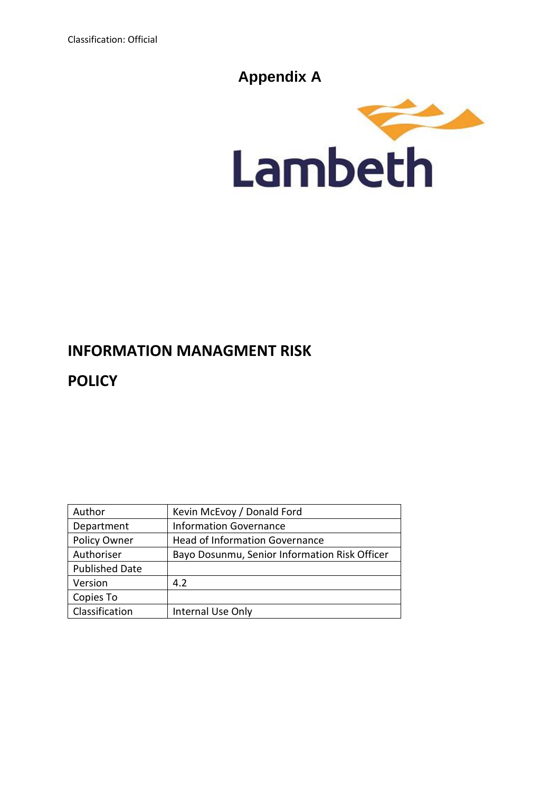# **Appendix A**



# **INFORMATION MANAGMENT RISK**

**POLICY**

| Author                | Kevin McEvoy / Donald Ford                    |
|-----------------------|-----------------------------------------------|
| Department            | <b>Information Governance</b>                 |
| Policy Owner          | <b>Head of Information Governance</b>         |
| Authoriser            | Bayo Dosunmu, Senior Information Risk Officer |
| <b>Published Date</b> |                                               |
| Version               | 4.2                                           |
| Copies To             |                                               |
| Classification        | Internal Use Only                             |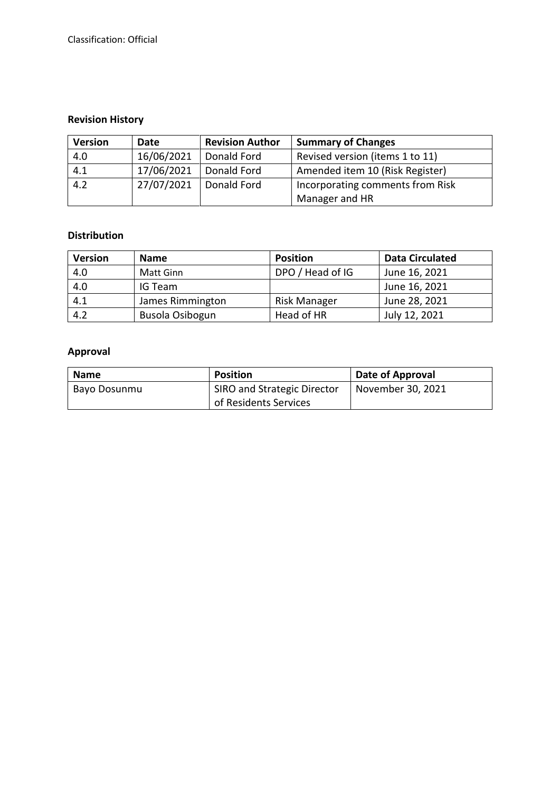# **Revision History**

| <b>Revision Author</b><br><b>Version</b><br>Date |            |                                                 | <b>Summary of Changes</b>       |  |
|--------------------------------------------------|------------|-------------------------------------------------|---------------------------------|--|
| 4.0                                              | 16/06/2021 | Donald Ford                                     | Revised version (items 1 to 11) |  |
| 4.1                                              | 17/06/2021 | Donald Ford                                     | Amended item 10 (Risk Register) |  |
| 4.2                                              | 27/07/2021 | Donald Ford<br>Incorporating comments from Risk |                                 |  |
|                                                  |            |                                                 | Manager and HR                  |  |

#### **Distribution**

| <b>Version</b> | <b>Name</b>      | <b>Position</b>  | <b>Data Circulated</b> |
|----------------|------------------|------------------|------------------------|
| 4.0            | Matt Ginn        | DPO / Head of IG | June 16, 2021          |
| 4.0            | IG Team          |                  | June 16, 2021          |
| 4.1            | James Rimmington | Risk Manager     | June 28, 2021          |
| 4.2            | Busola Osibogun  | Head of HR       | July 12, 2021          |

# **Approval**

| <b>Name</b>  | <b>Position</b>                    | Date of Approval  |
|--------------|------------------------------------|-------------------|
| Bayo Dosunmu | <b>SIRO and Strategic Director</b> | November 30, 2021 |
|              | of Residents Services              |                   |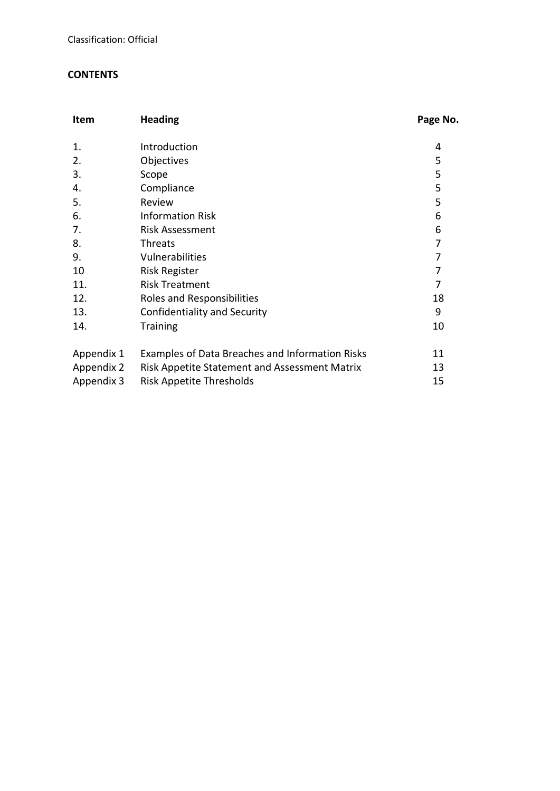## **CONTENTS**

| Item       | <b>Heading</b>                                       | Page No. |
|------------|------------------------------------------------------|----------|
| 1.         | Introduction                                         | 4        |
| 2.         | Objectives                                           | 5        |
| 3.         | Scope                                                | 5        |
| 4.         | Compliance                                           | 5        |
| 5.         | Review                                               | 5        |
| 6.         | <b>Information Risk</b>                              | 6        |
| 7.         | <b>Risk Assessment</b>                               | 6        |
| 8.         | <b>Threats</b>                                       | 7        |
| 9.         | Vulnerabilities                                      | 7        |
| 10         | <b>Risk Register</b>                                 | 7        |
| 11.        | <b>Risk Treatment</b>                                | 7        |
| 12.        | Roles and Responsibilities                           | 18       |
| 13.        | Confidentiality and Security                         | 9        |
| 14.        | <b>Training</b>                                      | 10       |
| Appendix 1 | Examples of Data Breaches and Information Risks      | 11       |
| Appendix 2 | <b>Risk Appetite Statement and Assessment Matrix</b> | 13       |
| Appendix 3 | Risk Appetite Thresholds                             | 15       |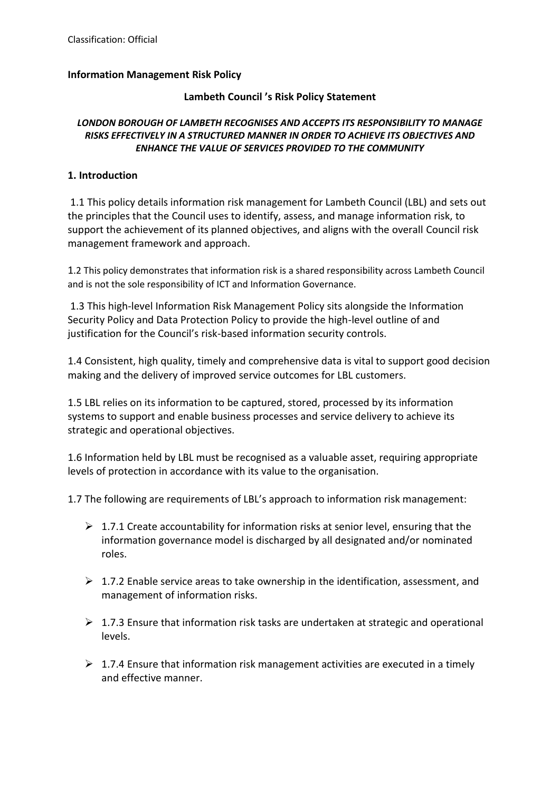#### **Information Management Risk Policy**

#### **Lambeth Council 's Risk Policy Statement**

#### *LONDON BOROUGH OF LAMBETH RECOGNISES AND ACCEPTS ITS RESPONSIBILITY TO MANAGE RISKS EFFECTIVELY IN A STRUCTURED MANNER IN ORDER TO ACHIEVE ITS OBJECTIVES AND ENHANCE THE VALUE OF SERVICES PROVIDED TO THE COMMUNITY*

#### **1. Introduction**

1.1 This policy details information risk management for Lambeth Council (LBL) and sets out the principles that the Council uses to identify, assess, and manage information risk, to support the achievement of its planned objectives, and aligns with the overall Council risk management framework and approach.

1.2 This policy demonstrates that information risk is a shared responsibility across Lambeth Council and is not the sole responsibility of ICT and Information Governance.

1.3 This high-level Information Risk Management Policy sits alongside the Information Security Policy and Data Protection Policy to provide the high-level outline of and justification for the Council's risk-based information security controls.

1.4 Consistent, high quality, timely and comprehensive data is vital to support good decision making and the delivery of improved service outcomes for LBL customers.

1.5 LBL relies on its information to be captured, stored, processed by its information systems to support and enable business processes and service delivery to achieve its strategic and operational objectives.

1.6 Information held by LBL must be recognised as a valuable asset, requiring appropriate levels of protection in accordance with its value to the organisation.

1.7 The following are requirements of LBL's approach to information risk management:

- $\geq 1.7.1$  Create accountability for information risks at senior level, ensuring that the information governance model is discharged by all designated and/or nominated roles.
- $\triangleright$  1.7.2 Enable service areas to take ownership in the identification, assessment, and management of information risks.
- $\triangleright$  1.7.3 Ensure that information risk tasks are undertaken at strategic and operational levels.
- $\triangleright$  1.7.4 Ensure that information risk management activities are executed in a timely and effective manner.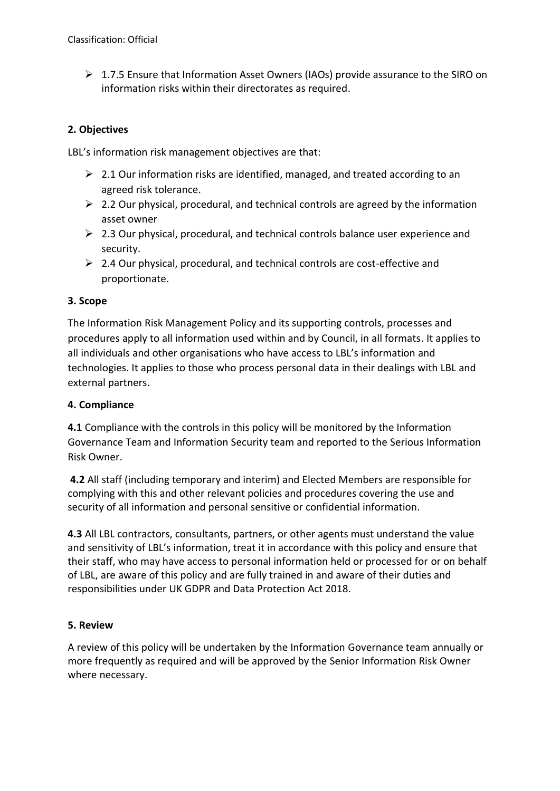$\triangleright$  1.7.5 Ensure that Information Asset Owners (IAOs) provide assurance to the SIRO on information risks within their directorates as required.

## **2. Objectives**

LBL's information risk management objectives are that:

- $\geq 2.1$  Our information risks are identified, managed, and treated according to an agreed risk tolerance.
- $\geq 2.2$  Our physical, procedural, and technical controls are agreed by the information asset owner
- $\geq 2.3$  Our physical, procedural, and technical controls balance user experience and security.
- ➢ 2.4 Our physical, procedural, and technical controls are cost-effective and proportionate.

## **3. Scope**

The Information Risk Management Policy and its supporting controls, processes and procedures apply to all information used within and by Council, in all formats. It applies to all individuals and other organisations who have access to LBL's information and technologies. It applies to those who process personal data in their dealings with LBL and external partners.

## **4. Compliance**

**4.1** Compliance with the controls in this policy will be monitored by the Information Governance Team and Information Security team and reported to the Serious Information Risk Owner.

**4.2** All staff (including temporary and interim) and Elected Members are responsible for complying with this and other relevant policies and procedures covering the use and security of all information and personal sensitive or confidential information.

**4.3** All LBL contractors, consultants, partners, or other agents must understand the value and sensitivity of LBL's information, treat it in accordance with this policy and ensure that their staff, who may have access to personal information held or processed for or on behalf of LBL, are aware of this policy and are fully trained in and aware of their duties and responsibilities under UK GDPR and Data Protection Act 2018.

## **5. Review**

A review of this policy will be undertaken by the Information Governance team annually or more frequently as required and will be approved by the Senior Information Risk Owner where necessary.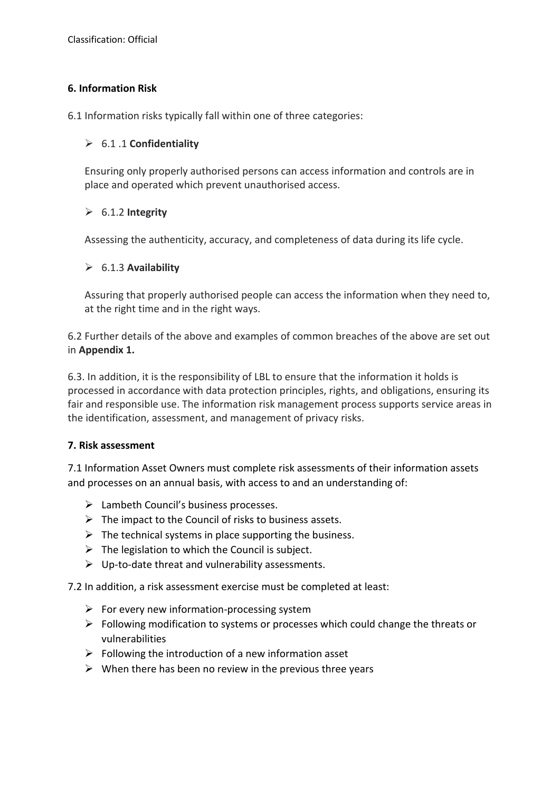## **6. Information Risk**

6.1 Information risks typically fall within one of three categories:

#### ➢ 6.1 .1 **Confidentiality**

Ensuring only properly authorised persons can access information and controls are in place and operated which prevent unauthorised access.

## ➢ 6.1.2 **Integrity**

Assessing the authenticity, accuracy, and completeness of data during its life cycle.

#### ➢ 6.1.3 **Availability**

Assuring that properly authorised people can access the information when they need to, at the right time and in the right ways.

6.2 Further details of the above and examples of common breaches of the above are set out in **Appendix 1.**

6.3. In addition, it is the responsibility of LBL to ensure that the information it holds is processed in accordance with data protection principles, rights, and obligations, ensuring its fair and responsible use. The information risk management process supports service areas in the identification, assessment, and management of privacy risks.

#### **7. Risk assessment**

7.1 Information Asset Owners must complete risk assessments of their information assets and processes on an annual basis, with access to and an understanding of:

- ➢ Lambeth Council's business processes.
- $\triangleright$  The impact to the Council of risks to business assets.
- $\triangleright$  The technical systems in place supporting the business.
- $\triangleright$  The legislation to which the Council is subject.
- $\triangleright$  Up-to-date threat and vulnerability assessments.

7.2 In addition, a risk assessment exercise must be completed at least:

- $\triangleright$  For every new information-processing system
- ➢ Following modification to systems or processes which could change the threats or vulnerabilities
- $\triangleright$  Following the introduction of a new information asset
- $\triangleright$  When there has been no review in the previous three years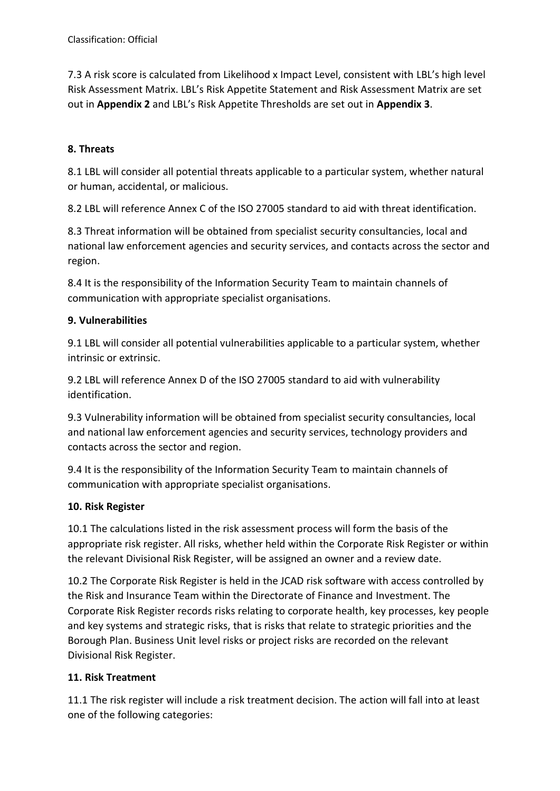7.3 A risk score is calculated from Likelihood x Impact Level, consistent with LBL's high level Risk Assessment Matrix. LBL's Risk Appetite Statement and Risk Assessment Matrix are set out in **Appendix 2** and LBL's Risk Appetite Thresholds are set out in **Appendix 3**.

# **8. Threats**

8.1 LBL will consider all potential threats applicable to a particular system, whether natural or human, accidental, or malicious.

8.2 LBL will reference Annex C of the ISO 27005 standard to aid with threat identification.

8.3 Threat information will be obtained from specialist security consultancies, local and national law enforcement agencies and security services, and contacts across the sector and region.

8.4 It is the responsibility of the Information Security Team to maintain channels of communication with appropriate specialist organisations.

# **9. Vulnerabilities**

9.1 LBL will consider all potential vulnerabilities applicable to a particular system, whether intrinsic or extrinsic.

9.2 LBL will reference Annex D of the ISO 27005 standard to aid with vulnerability identification.

9.3 Vulnerability information will be obtained from specialist security consultancies, local and national law enforcement agencies and security services, technology providers and contacts across the sector and region.

9.4 It is the responsibility of the Information Security Team to maintain channels of communication with appropriate specialist organisations.

## **10. Risk Register**

10.1 The calculations listed in the risk assessment process will form the basis of the appropriate risk register. All risks, whether held within the Corporate Risk Register or within the relevant Divisional Risk Register, will be assigned an owner and a review date.

10.2 The Corporate Risk Register is held in the JCAD risk software with access controlled by the Risk and Insurance Team within the Directorate of Finance and Investment. The Corporate Risk Register records risks relating to corporate health, key processes, key people and key systems and strategic risks, that is risks that relate to strategic priorities and the Borough Plan. Business Unit level risks or project risks are recorded on the relevant Divisional Risk Register.

# **11. Risk Treatment**

11.1 The risk register will include a risk treatment decision. The action will fall into at least one of the following categories: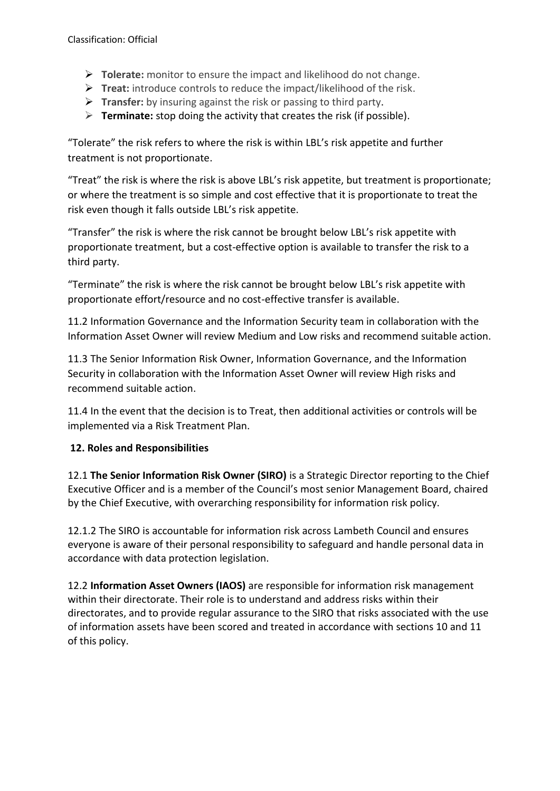- ➢ **Tolerate:** monitor to ensure the impact and likelihood do not change.
- ➢ **Treat:** introduce controls to reduce the impact/likelihood of the risk.
- ➢ **Transfer:** by insuring against the risk or passing to third party.
- ➢ **Terminate:** stop doing the activity that creates the risk (if possible).

"Tolerate" the risk refers to where the risk is within LBL's risk appetite and further treatment is not proportionate.

"Treat" the risk is where the risk is above LBL's risk appetite, but treatment is proportionate; or where the treatment is so simple and cost effective that it is proportionate to treat the risk even though it falls outside LBL's risk appetite.

"Transfer" the risk is where the risk cannot be brought below LBL's risk appetite with proportionate treatment, but a cost-effective option is available to transfer the risk to a third party.

"Terminate" the risk is where the risk cannot be brought below LBL's risk appetite with proportionate effort/resource and no cost-effective transfer is available.

11.2 Information Governance and the Information Security team in collaboration with the Information Asset Owner will review Medium and Low risks and recommend suitable action.

11.3 The Senior Information Risk Owner, Information Governance, and the Information Security in collaboration with the Information Asset Owner will review High risks and recommend suitable action.

11.4 In the event that the decision is to Treat, then additional activities or controls will be implemented via a Risk Treatment Plan.

## **12. Roles and Responsibilities**

12.1 **The Senior Information Risk Owner (SIRO)** is a Strategic Director reporting to the Chief Executive Officer and is a member of the Council's most senior Management Board, chaired by the Chief Executive, with overarching responsibility for information risk policy.

12.1.2 The SIRO is accountable for information risk across Lambeth Council and ensures everyone is aware of their personal responsibility to safeguard and handle personal data in accordance with data protection legislation.

12.2 **Information Asset Owners (IAOS)** are responsible for information risk management within their directorate. Their role is to understand and address risks within their directorates, and to provide regular assurance to the SIRO that risks associated with the use of information assets have been scored and treated in accordance with sections 10 and 11 of this policy.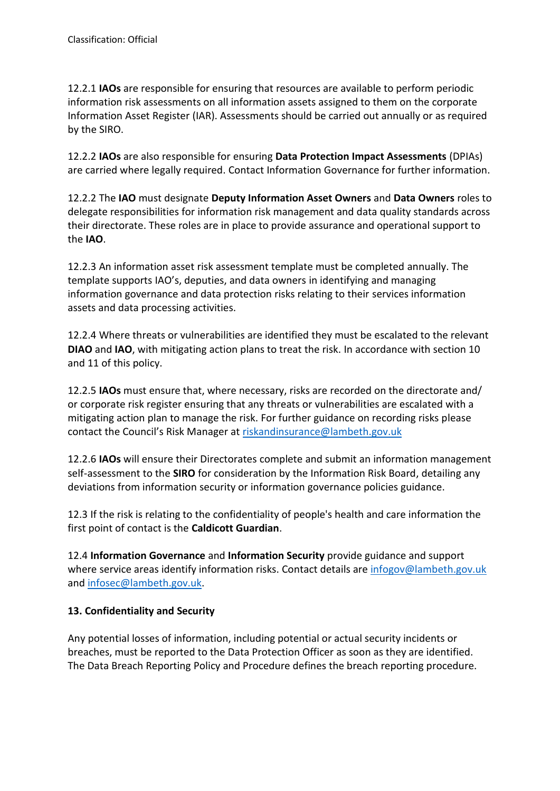12.2.1 **IAOs** are responsible for ensuring that resources are available to perform periodic information risk assessments on all information assets assigned to them on the corporate Information Asset Register (IAR). Assessments should be carried out annually or as required by the SIRO.

12.2.2 **IAOs** are also responsible for ensuring **Data Protection Impact Assessments** (DPIAs) are carried where legally required. Contact Information Governance for further information.

12.2.2 The **IAO** must designate **Deputy Information Asset Owners** and **Data Owners** roles to delegate responsibilities for information risk management and data quality standards across their directorate. These roles are in place to provide assurance and operational support to the **IAO**.

12.2.3 An information asset risk assessment template must be completed annually. The template supports IAO's, deputies, and data owners in identifying and managing information governance and data protection risks relating to their services information assets and data processing activities.

12.2.4 Where threats or vulnerabilities are identified they must be escalated to the relevant **DIAO** and **IAO**, with mitigating action plans to treat the risk. In accordance with section 10 and 11 of this policy.

12.2.5 **IAOs** must ensure that, where necessary, risks are recorded on the directorate and/ or corporate risk register ensuring that any threats or vulnerabilities are escalated with a mitigating action plan to manage the risk. For further guidance on recording risks please contact the Council's Risk Manager at [riskandinsurance@lambeth.gov.uk](mailto:riskandinsurance@lambeth.gov.uk)

12.2.6 **IAOs** will ensure their Directorates complete and submit an information management self-assessment to the **SIRO** for consideration by the Information Risk Board, detailing any deviations from information security or information governance policies guidance.

12.3 If the risk is relating to the confidentiality of people's health and care information the first point of contact is the **Caldicott Guardian**.

12.4 **Information Governance** and **Information Security** provide guidance and support where service areas identify information risks. Contact details are [infogov@lambeth.gov.uk](mailto:infogov@lambeth.gov.uk) and [infosec@lambeth.gov.uk.](mailto:infosec@lambeth.gov.uk)

# **13. Confidentiality and Security**

Any potential losses of information, including potential or actual security incidents or breaches, must be reported to the Data Protection Officer as soon as they are identified. The Data Breach Reporting Policy and Procedure defines the breach reporting procedure.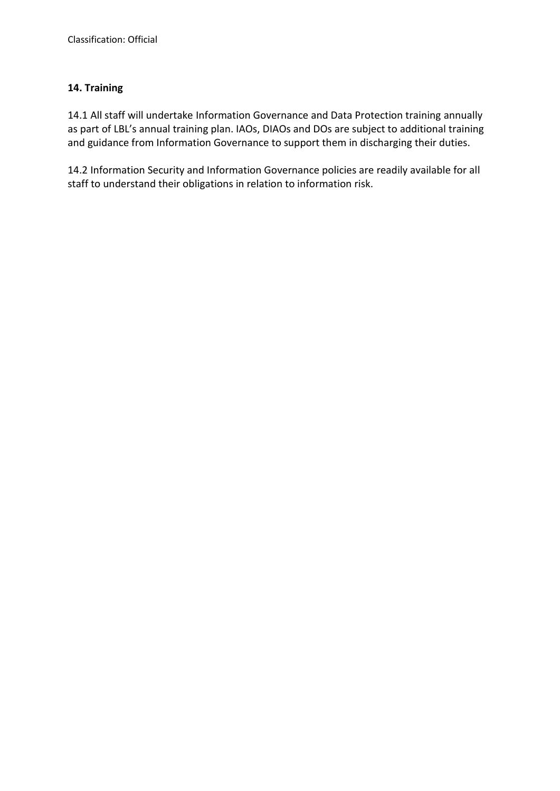# **14. Training**

14.1 All staff will undertake Information Governance and Data Protection training annually as part of LBL's annual training plan. IAOs, DIAOs and DOs are subject to additional training and guidance from Information Governance to support them in discharging their duties.

14.2 Information Security and Information Governance policies are readily available for all staff to understand their obligations in relation to information risk.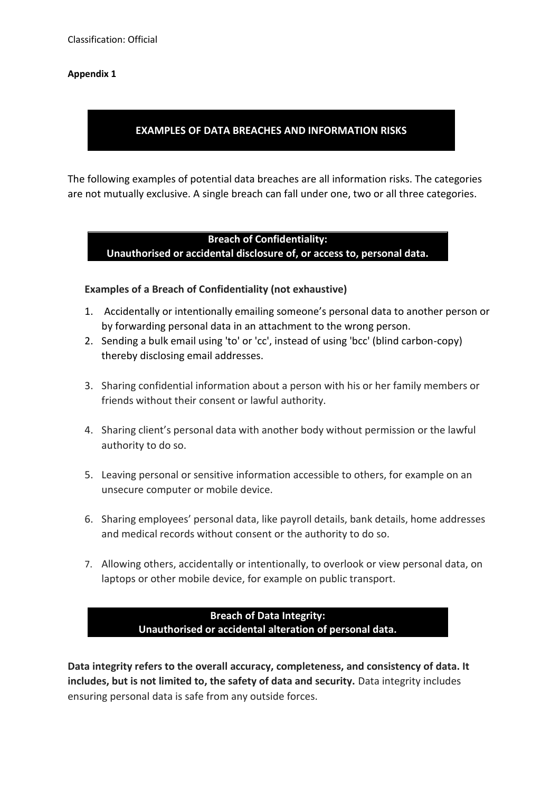#### **Appendix 1**

## **EXAMPLES OF DATA BREACHES AND INFORMATION RISKS**

The following examples of potential data breaches are all information risks. The categories are not mutually exclusive. A single breach can fall under one, two or all three categories.

#### **Breach of Confidentiality: Unauthorised or accidental disclosure of, or access to, personal data.**

#### **Examples of a Breach of Confidentiality (not exhaustive)**

- 1. Accidentally or intentionally emailing someone's personal data to another person or by forwarding personal data in an attachment to the wrong person.
- 2. Sending a bulk email using 'to' or 'cc', instead of using 'bcc' (blind carbon-copy) thereby disclosing email addresses.
- 3. Sharing confidential information about a person with his or her family members or friends without their consent or lawful authority.
- 4. Sharing client's personal data with another body without permission or the lawful authority to do so.
- 5. Leaving personal or sensitive information accessible to others, for example on an unsecure computer or mobile device.
- 6. Sharing employees' personal data, like payroll details, bank details, home addresses and medical records without consent or the authority to do so.
- 7. Allowing others, accidentally or intentionally, to overlook or view personal data, on laptops or other mobile device, for example on public transport.

## **Breach of Data Integrity: Unauthorised or accidental alteration of personal data.**

**Data integrity refers to the overall accuracy, completeness, and consistency of data. It includes, but is not limited to, the safety of data and security.** Data integrity includes ensuring personal data is safe from any outside forces.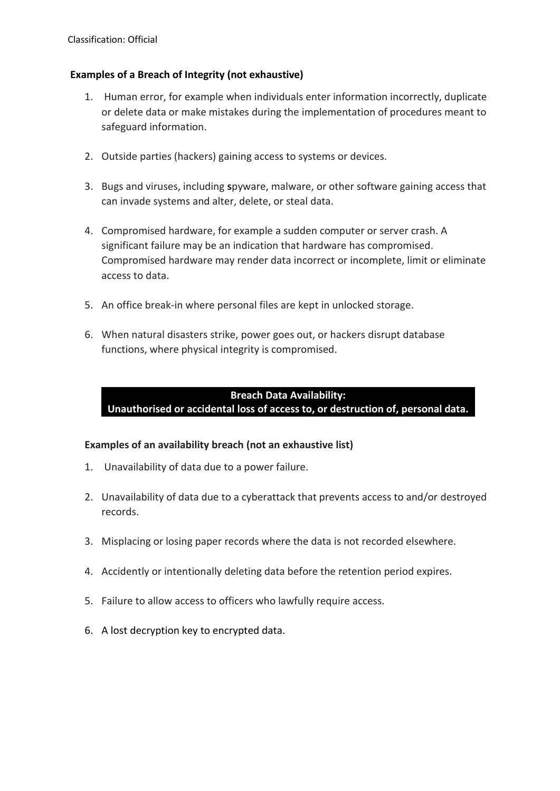## **Examples of a Breach of Integrity (not exhaustive)**

- 1. Human error, for example when individuals enter information incorrectly, duplicate or delete data or make mistakes during the implementation of procedures meant to safeguard information.
- 2. Outside parties (hackers) gaining access to systems or devices.
- 3. Bugs and viruses, including **s**pyware, malware, or other software gaining access that can invade systems and alter, delete, or steal data.
- 4. Compromised hardware, for example a sudden computer or server crash. A significant failure may be an indication that hardware has compromised. Compromised hardware may render data incorrect or incomplete, limit or eliminate access to data.
- 5. An office break-in where personal files are kept in unlocked storage.
- 6. When natural disasters strike, power goes out, or hackers disrupt database functions, where physical integrity is compromised.

## **Breach Data Availability:**

**Unauthorised or accidental loss of access to, or destruction of, personal data.**

## **Examples of an availability breach (not an exhaustive list)**

- 1. Unavailability of data due to a power failure.
- 2. Unavailability of data due to a cyberattack that prevents access to and/or destroyed records.
- 3. Misplacing or losing paper records where the data is not recorded elsewhere.
- 4. Accidently or intentionally deleting data before the retention period expires.
- 5. Failure to allow access to officers who lawfully require access.
- 6. A lost decryption key to encrypted data.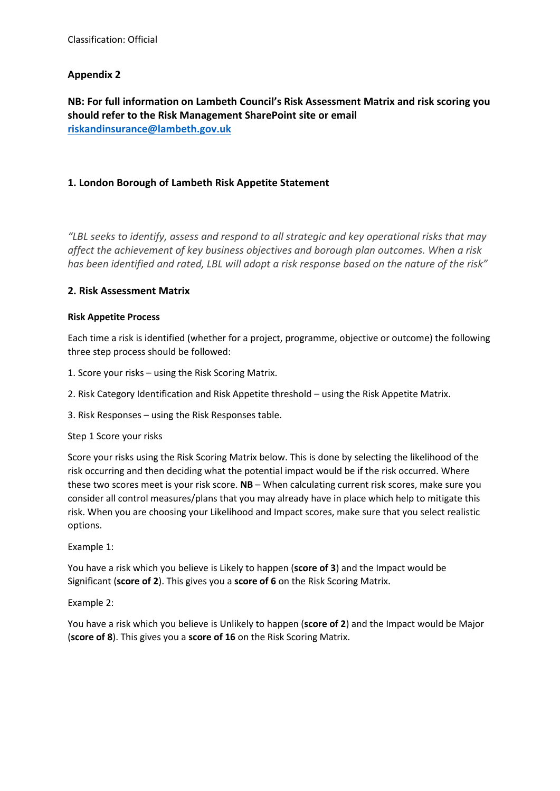## **Appendix 2**

**NB: For full information on Lambeth Council's Risk Assessment Matrix and risk scoring you should refer to the Risk Management SharePoint site or email [riskandinsurance@lambeth.gov.uk](mailto:riskandinsurance@lambeth.gov.uk)**

#### **1. London Borough of Lambeth Risk Appetite Statement**

*"LBL seeks to identify, assess and respond to all strategic and key operational risks that may affect the achievement of key business objectives and borough plan outcomes. When a risk has been identified and rated, LBL will adopt a risk response based on the nature of the risk"*

#### **2. Risk Assessment Matrix**

#### **Risk Appetite Process**

Each time a risk is identified (whether for a project, programme, objective or outcome) the following three step process should be followed:

1. Score your risks – using the Risk Scoring Matrix.

2. Risk Category Identification and Risk Appetite threshold – using the Risk Appetite Matrix.

3. Risk Responses – using the Risk Responses table.

#### Step 1 Score your risks

Score your risks using the Risk Scoring Matrix below. This is done by selecting the likelihood of the risk occurring and then deciding what the potential impact would be if the risk occurred. Where these two scores meet is your risk score. **NB** – When calculating current risk scores, make sure you consider all control measures/plans that you may already have in place which help to mitigate this risk. When you are choosing your Likelihood and Impact scores, make sure that you select realistic options.

Example 1:

You have a risk which you believe is Likely to happen (**score of 3**) and the Impact would be Significant (**score of 2**). This gives you a **score of 6** on the Risk Scoring Matrix.

Example 2:

You have a risk which you believe is Unlikely to happen (**score of 2**) and the Impact would be Major (**score of 8**). This gives you a **score of 16** on the Risk Scoring Matrix.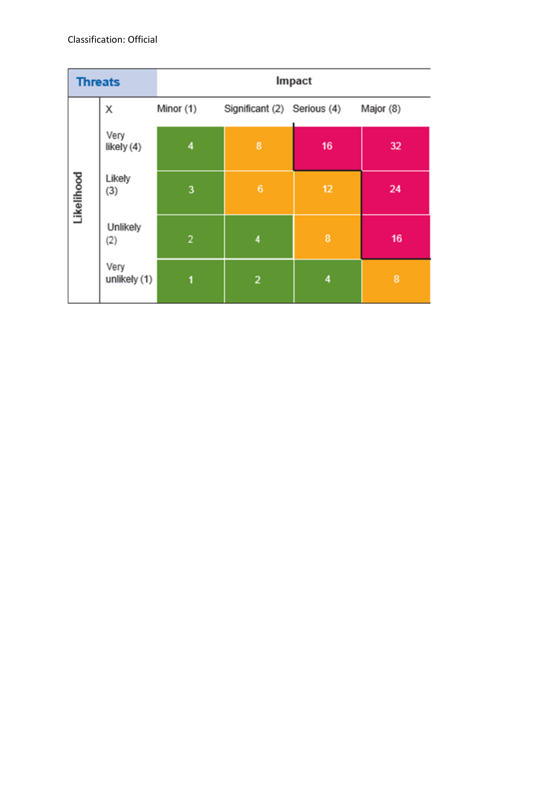| <b>Threats</b> |                      | Impact         |                             |                         |           |
|----------------|----------------------|----------------|-----------------------------|-------------------------|-----------|
|                | Χ                    | Minor (1)      | Significant (2) Serious (4) |                         | Major (8) |
| Likelihood     | Very<br>likely (4)   | 4              | 8                           | 16                      | 32        |
|                | Likely<br>(3)        | 3              | 6                           | 12                      | 24        |
|                | Unlikely<br>(2)      | $\overline{2}$ | 4                           | 8                       | 16        |
|                | Very<br>unlikely (1) | 1              | $\overline{\mathbf{c}}$     | $\overline{\mathbf{4}}$ | 8         |